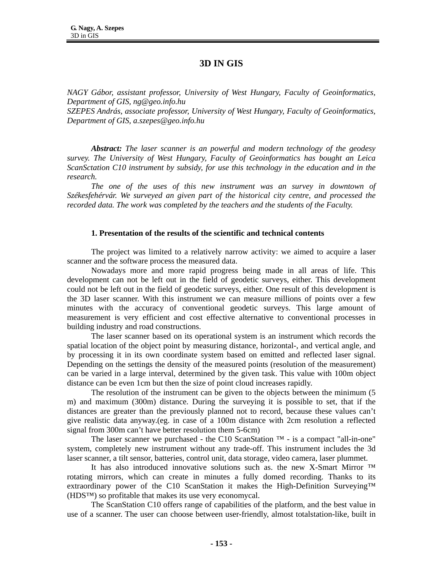# **3D IN GIS**

*NAGY Gábor, assistant professor, University of West Hungary, Faculty of Geoinformatics, Department of GIS, ng@geo.info.hu* 

*SZEPES András, associate professor, University of West Hungary, Faculty of Geoinformatics, Department of GIS, a.szepes@geo.info.hu* 

*Abstract: The laser scanner is an powerful and modern technology of the geodesy survey. The University of West Hungary, Faculty of Geoinformatics has bought an Leica ScanSctation C10 instrument by subsidy, for use this technology in the education and in the research.* 

*The one of the uses of this new instrument was an survey in downtown of Székesfehérvár. We surveyed an given part of the historical city centre, and processed the recorded data. The work was completed by the teachers and the students of the Faculty.* 

#### **1. Presentation of the results of the scientific and technical contents**

The project was limited to a relatively narrow activity: we aimed to acquire a laser scanner and the software process the measured data.

Nowadays more and more rapid progress being made in all areas of life. This development can not be left out in the field of geodetic surveys, either. This development could not be left out in the field of geodetic surveys, either. One result of this development is the 3D laser scanner. With this instrument we can measure millions of points over a few minutes with the accuracy of conventional geodetic surveys. This large amount of measurement is very efficient and cost effective alternative to conventional processes in building industry and road constructions.

The laser scanner based on its operational system is an instrument which records the spatial location of the object point by measuring distance, horizontal-, and vertical angle, and by processing it in its own coordinate system based on emitted and reflected laser signal. Depending on the settings the density of the measured points (resolution of the measurement) can be varied in a large interval, determined by the given task. This value with 100m object distance can be even 1cm but then the size of point cloud increases rapidly.

The resolution of the instrument can be given to the objects between the minimum (5 m) and maximum (300m) distance. During the surveying it is possible to set, that if the distances are greater than the previously planned not to record, because these values can't give realistic data anyway.(eg. in case of a 100m distance with 2cm resolution a reflected signal from 300m can't have better resolution them 5-6cm)

The laser scanner we purchased - the C10 ScanStation  $TM -$  is a compact "all-in-one" system, completely new instrument without any trade-off. This instrument includes the 3d laser scanner, a tilt sensor, batteries, control unit, data storage, video camera, laser plummet.

It has also introduced innovative solutions such as. the new X-Smart Mirror ™ rotating mirrors, which can create in minutes a fully domed recording. Thanks to its extraordinary power of the C10 ScanStation it makes the High-Definition Surveying™ (HDS™) so profitable that makes its use very economycal.

The ScanStation C10 offers range of capabilities of the platform, and the best value in use of a scanner. The user can choose between user-friendly, almost totalstation-like, built in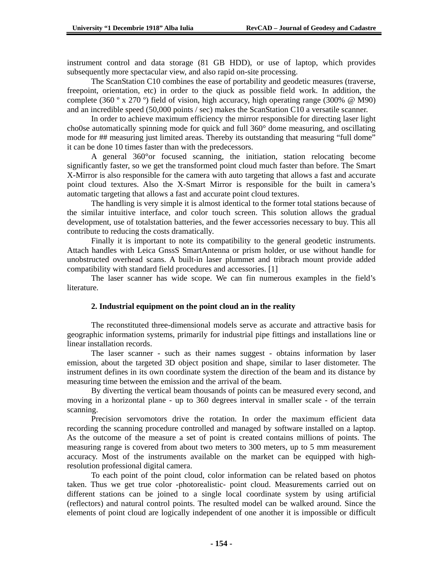instrument control and data storage (81 GB HDD), or use of laptop, which provides subsequently more spectacular view, and also rapid on-site processing.

The ScanStation C10 combines the ease of portability and geodetic measures (traverse, freepoint, orientation, etc) in order to the qiuck as possible field work. In addition, the complete (360 º x 270 º) field of vision, high accuracy, high operating range (300% @ M90) and an incredible speed (50,000 points / sec) makes the ScanStation C10 a versatile scanner.

In order to achieve maximum efficiency the mirror responsible for directing laser light cho0se automatically spinning mode for quick and full 360° dome measuring, and oscillating mode for ## measuring just limited areas. Thereby its outstanding that measuring "full dome" it can be done 10 times faster than with the predecessors.

A general 360°or focused scanning, the initiation, station relocating become significantly faster, so we get the transformed point cloud much faster than before. The Smart X-Mirror is also responsible for the camera with auto targeting that allows a fast and accurate point cloud textures. Also the X-Smart Mirror is responsible for the built in camera's automatic targeting that allows a fast and accurate point cloud textures.

The handling is very simple it is almost identical to the former total stations because of the similar intuitive interface, and color touch screen. This solution allows the gradual development, use of totalstation batteries, and the fewer accessories necessary to buy. This all contribute to reducing the costs dramatically.

Finally it is important to note its compatibility to the general geodetic instruments. Attach handles with Leica GnssS SmartAntenna or prism holder, or use without handle for unobstructed overhead scans. A built-in laser plummet and tribrach mount provide added compatibility with standard field procedures and accessories. [1]

The laser scanner has wide scope. We can fin numerous examples in the field's literature.

## **2. Industrial equipment on the point cloud an in the reality**

The reconstituted three-dimensional models serve as accurate and attractive basis for geographic information systems, primarily for industrial pipe fittings and installations line or linear installation records.

The laser scanner - such as their names suggest - obtains information by laser emission, about the targeted 3D object position and shape, similar to laser distometer. The instrument defines in its own coordinate system the direction of the beam and its distance by measuring time between the emission and the arrival of the beam.

By diverting the vertical beam thousands of points can be measured every second, and moving in a horizontal plane - up to 360 degrees interval in smaller scale - of the terrain scanning.

Precision servomotors drive the rotation. In order the maximum efficient data recording the scanning procedure controlled and managed by software installed on a laptop. As the outcome of the measure a set of point is created contains millions of points. The measuring range is covered from about two meters to 300 meters, up to 5 mm measurement accuracy. Most of the instruments available on the market can be equipped with highresolution professional digital camera.

To each point of the point cloud, color information can be related based on photos taken. Thus we get true color -photorealistic- point cloud. Measurements carried out on different stations can be joined to a single local coordinate system by using artificial (reflectors) and natural control points. The resulted model can be walked around. Since the elements of point cloud are logically independent of one another it is impossible or difficult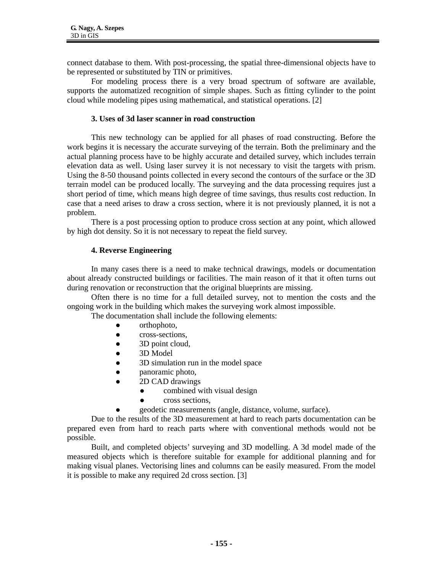connect database to them. With post-processing, the spatial three-dimensional objects have to be represented or substituted by TIN or primitives.

For modeling process there is a very broad spectrum of software are available, supports the automatized recognition of simple shapes. Such as fitting cylinder to the point cloud while modeling pipes using mathematical, and statistical operations. [2]

### **3. Uses of 3d laser scanner in road construction**

This new technology can be applied for all phases of road constructing. Before the work begins it is necessary the accurate surveying of the terrain. Both the preliminary and the actual planning process have to be highly accurate and detailed survey, which includes terrain elevation data as well. Using laser survey it is not necessary to visit the targets with prism. Using the 8-50 thousand points collected in every second the contours of the surface or the 3D terrain model can be produced locally. The surveying and the data processing requires just a short period of time, which means high degree of time savings, thus results cost reduction. In case that a need arises to draw a cross section, where it is not previously planned, it is not a problem.

There is a post processing option to produce cross section at any point, which allowed by high dot density. So it is not necessary to repeat the field survey.

#### **4. Reverse Engineering**

In many cases there is a need to make technical drawings, models or documentation about already constructed buildings or facilities. The main reason of it that it often turns out during renovation or reconstruction that the original blueprints are missing.

Often there is no time for a full detailed survey, not to mention the costs and the ongoing work in the building which makes the surveying work almost impossible.

The documentation shall include the following elements:

- orthophoto,
- cross-sections,
- $\bullet$  3D point cloud,
- 3D Model
- 3D simulation run in the model space
- panoramic photo,
- 2D CAD drawings
	- $\bullet$  combined with visual design
	- cross sections.
	- z geodetic measurements (angle, distance, volume, surface).

Due to the results of the 3D measurement at hard to reach parts documentation can be prepared even from hard to reach parts where with conventional methods would not be possible.

Built, and completed objects' surveying and 3D modelling. A 3d model made of the measured objects which is therefore suitable for example for additional planning and for making visual planes. Vectorising lines and columns can be easily measured. From the model it is possible to make any required 2d cross section. [3]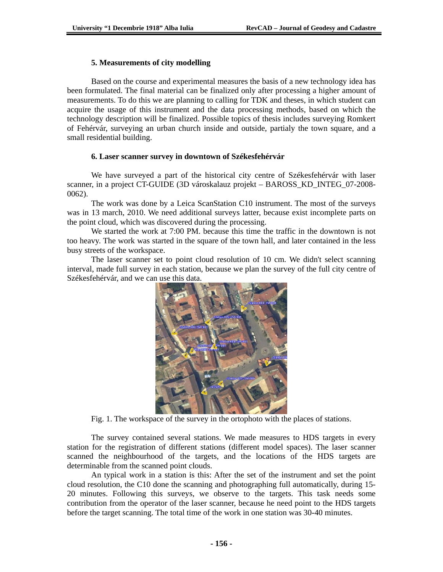### **5. Measurements of city modelling**

Based on the course and experimental measures the basis of a new technology idea has been formulated. The final material can be finalized only after processing a higher amount of measurements. To do this we are planning to calling for TDK and theses, in which student can acquire the usage of this instrument and the data processing methods, based on which the technology description will be finalized. Possible topics of thesis includes surveying Romkert of Fehérvár, surveying an urban church inside and outside, partialy the town square, and a small residential building.

### **6. Laser scanner survey in downtown of Székesfehérvár**

We have surveyed a part of the historical city centre of Székesfehérvár with laser scanner, in a project CT-GUIDE (3D városkalauz projekt – BAROSS\_KD\_INTEG\_07-2008- 0062).

The work was done by a Leica ScanStation C10 instrument. The most of the surveys was in 13 march, 2010. We need additional surveys latter, because exist incomplete parts on the point cloud, which was discovered during the processing.

We started the work at 7:00 PM, because this time the traffic in the downtown is not too heavy. The work was started in the square of the town hall, and later contained in the less busy streets of the workspace.

The laser scanner set to point cloud resolution of 10 cm. We didn't select scanning interval, made full survey in each station, because we plan the survey of the full city centre of Székesfehérvár, and we can use this data.



Fig. 1. The workspace of the survey in the ortophoto with the places of stations.

The survey contained several stations. We made measures to HDS targets in every station for the registration of different stations (different model spaces). The laser scanner scanned the neighbourhood of the targets, and the locations of the HDS targets are determinable from the scanned point clouds.

An typical work in a station is this: After the set of the instrument and set the point cloud resolution, the C10 done the scanning and photographing full automatically, during 15- 20 minutes. Following this surveys, we observe to the targets. This task needs some contribution from the operator of the laser scanner, because he need point to the HDS targets before the target scanning. The total time of the work in one station was 30-40 minutes.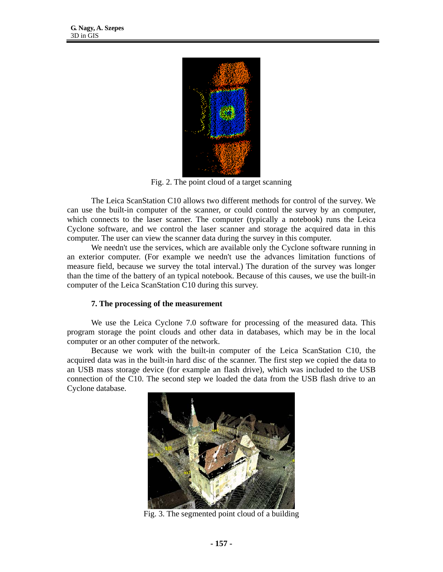

Fig. 2. The point cloud of a target scanning

The Leica ScanStation C10 allows two different methods for control of the survey. We can use the built-in computer of the scanner, or could control the survey by an computer, which connects to the laser scanner. The computer (typically a notebook) runs the Leica Cyclone software, and we control the laser scanner and storage the acquired data in this computer. The user can view the scanner data during the survey in this computer.

We needn't use the services, which are available only the Cyclone software running in an exterior computer. (For example we needn't use the advances limitation functions of measure field, because we survey the total interval.) The duration of the survey was longer than the time of the battery of an typical notebook. Because of this causes, we use the built-in computer of the Leica ScanStation C10 during this survey.

### **7. The processing of the measurement**

We use the Leica Cyclone 7.0 software for processing of the measured data. This program storage the point clouds and other data in databases, which may be in the local computer or an other computer of the network.

Because we work with the built-in computer of the Leica ScanStation C10, the acquired data was in the built-in hard disc of the scanner. The first step we copied the data to an USB mass storage device (for example an flash drive), which was included to the USB connection of the C10. The second step we loaded the data from the USB flash drive to an Cyclone database.



Fig. 3. The segmented point cloud of a building